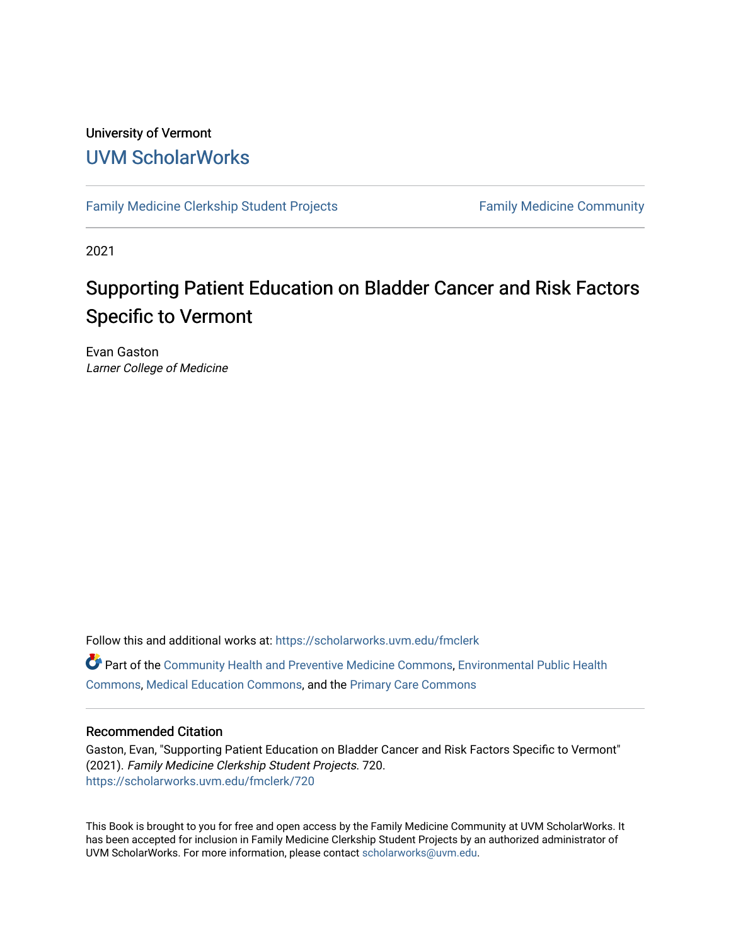#### University of Vermont [UVM ScholarWorks](https://scholarworks.uvm.edu/)

[Family Medicine Clerkship Student Projects](https://scholarworks.uvm.edu/fmclerk) Family Medicine Community

2021

#### Supporting Patient Education on Bladder Cancer and Risk Factors Specific to Vermont

Evan Gaston Larner College of Medicine

Follow this and additional works at: [https://scholarworks.uvm.edu/fmclerk](https://scholarworks.uvm.edu/fmclerk?utm_source=scholarworks.uvm.edu%2Ffmclerk%2F720&utm_medium=PDF&utm_campaign=PDFCoverPages)  Part of the [Community Health and Preventive Medicine Commons](http://network.bepress.com/hgg/discipline/744?utm_source=scholarworks.uvm.edu%2Ffmclerk%2F720&utm_medium=PDF&utm_campaign=PDFCoverPages), [Environmental Public Health](http://network.bepress.com/hgg/discipline/739?utm_source=scholarworks.uvm.edu%2Ffmclerk%2F720&utm_medium=PDF&utm_campaign=PDFCoverPages)  [Commons](http://network.bepress.com/hgg/discipline/739?utm_source=scholarworks.uvm.edu%2Ffmclerk%2F720&utm_medium=PDF&utm_campaign=PDFCoverPages), [Medical Education Commons](http://network.bepress.com/hgg/discipline/1125?utm_source=scholarworks.uvm.edu%2Ffmclerk%2F720&utm_medium=PDF&utm_campaign=PDFCoverPages), and the [Primary Care Commons](http://network.bepress.com/hgg/discipline/1092?utm_source=scholarworks.uvm.edu%2Ffmclerk%2F720&utm_medium=PDF&utm_campaign=PDFCoverPages)

#### Recommended Citation

Gaston, Evan, "Supporting Patient Education on Bladder Cancer and Risk Factors Specific to Vermont" (2021). Family Medicine Clerkship Student Projects. 720. [https://scholarworks.uvm.edu/fmclerk/720](https://scholarworks.uvm.edu/fmclerk/720?utm_source=scholarworks.uvm.edu%2Ffmclerk%2F720&utm_medium=PDF&utm_campaign=PDFCoverPages) 

This Book is brought to you for free and open access by the Family Medicine Community at UVM ScholarWorks. It has been accepted for inclusion in Family Medicine Clerkship Student Projects by an authorized administrator of UVM ScholarWorks. For more information, please contact [scholarworks@uvm.edu.](mailto:scholarworks@uvm.edu)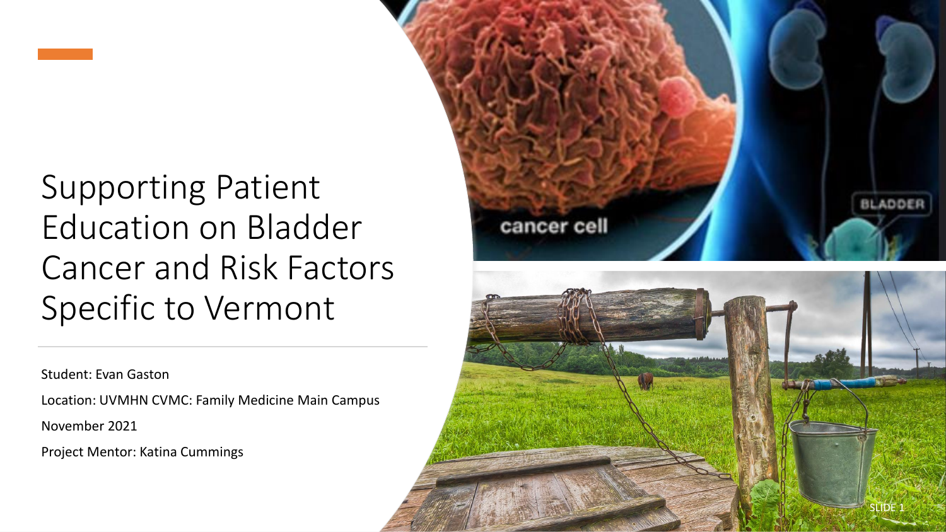

Student: Evan Gaston

Location: UVMHN CVMC: Family Medicine Main Campus

November 2021

Project Mentor: Katina Cummings

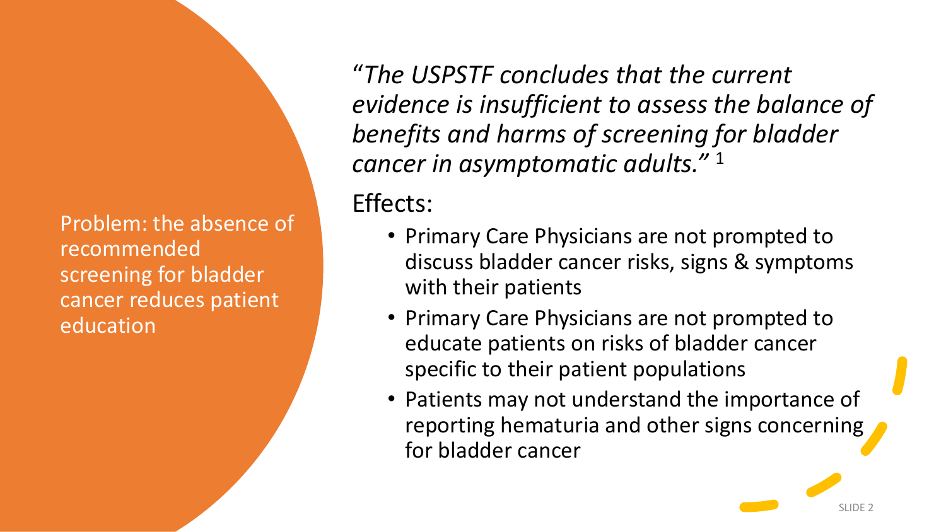Problem: the absence of recommended screening for bladder cancer reduces patient education

"*The USPSTF concludes that the current evidence is insufficient to assess the balance of benefits and harms of screening for bladder cancer in asymptomatic adults."* <sup>1</sup>

Effects:

- Primary Care Physicians are not prompted to discuss bladder cancer risks, signs & symptoms with their patients
- Primary Care Physicians are not prompted to educate patients on risks of bladder cancer specific to their patient populations
- Patients may not understand the importance of reporting hematuria and other signs concerning for bladder cancer

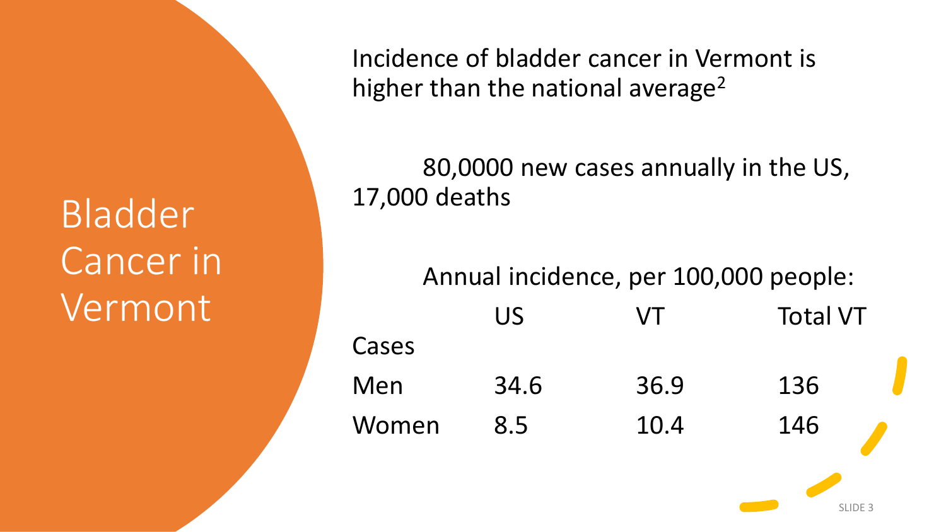# Bladder Cancer in Vermont

Incidence of bladder cancer in Vermont is higher than the national average<sup>2</sup>

80,0000 new cases annually in the US, 17,000 deaths

Annual incidence, per 100,000 people: US VT Total VT Cases Men 34.6 36.9 136 Women 8.5 10.4 146

SLIDE 3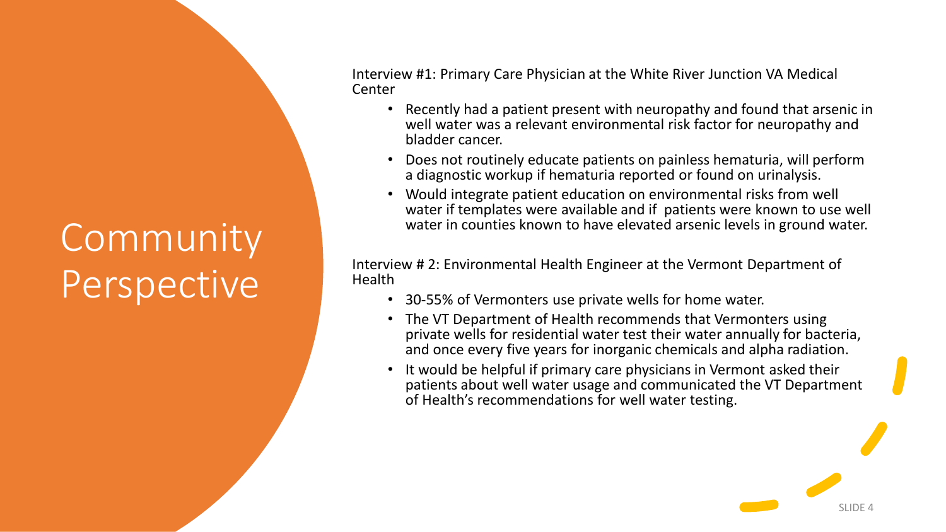## **Community** Perspective

Interview #1: Primary Care Physician at the White River Junction VA Medical Center

- Recently had a patient present with neuropathy and found that arsenic in well water was a relevant environmental risk factor for neuropathy and bladder cancer.
- Does not routinely educate patients on painless hematuria, will perform a diagnostic workup if hematuria reported or found on urinalysis.
- Would integrate patient education on environmental risks from well water if templates were available and if patients were known to use well water in counties known to have elevated arsenic levels in ground water.

Interview # 2: Environmental Health Engineer at the Vermont Department of **Health** 

- 30-55% of Vermonters use private wells for home water.
- The VT Department of Health recommends that Vermonters using private wells for residential water test their water annually for bacteria, and once every five years for inorganic chemicals and alpha radiation.
- It would be helpful if primary care physicians in Vermont asked their patients about well water usage and communicated the VT Department of Health's recommendations for well water testing.

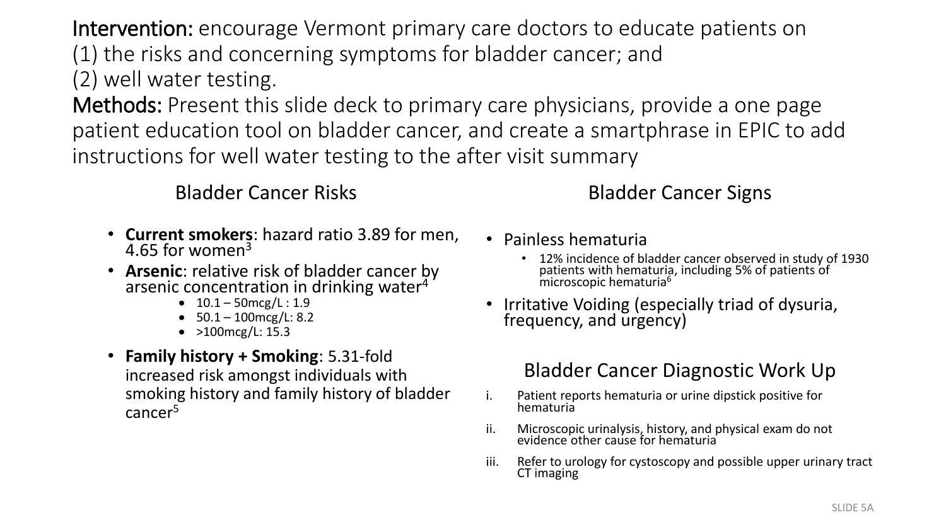Intervention: encourage Vermont primary care doctors to educate patients on (1) the risks and concerning symptoms for bladder cancer; and (2) well water testing.

Methods: Present this slide deck to primary care physicians, provide a one page patient education tool on bladder cancer, and create a smartphrase in EPIC to add instructions for well water testing to the after visit summary

#### Bladder Cancer Risks

- **Current smokers**: hazard ratio 3.89 for men, 4.65 for women<sup>3</sup>
- **Arsenic**: relative risk of bladder cancer by arsenic concentration in drinking water<sup>4</sup>
	- $10.1 50$  mcg/L:  $1.9$
	- 50.1 100mcg/L: 8.2
	- $>100$  mcg/L: 15.3
- **Family history + Smoking**: 5.31-fold increased risk amongst individuals with smoking history and family history of bladder cancer<sup>5</sup>

### Bladder Cancer Signs

- Painless hematuria
	- 12% incidence of bladder cancer observed in study of 1930 patients with hematuria, including 5% of patients of microscopic hematuria<sup>6</sup>
- Irritative Voiding (especially triad of dysuria, frequency, and urgency)

### Bladder Cancer Diagnostic Work Up

- i. Patient reports hematuria or urine dipstick positive for hematuria
- ii. Microscopic urinalysis, history, and physical exam do not evidence other cause for hematuria
- iii. Refer to urology for cystoscopy and possible upper urinary tract CT imaging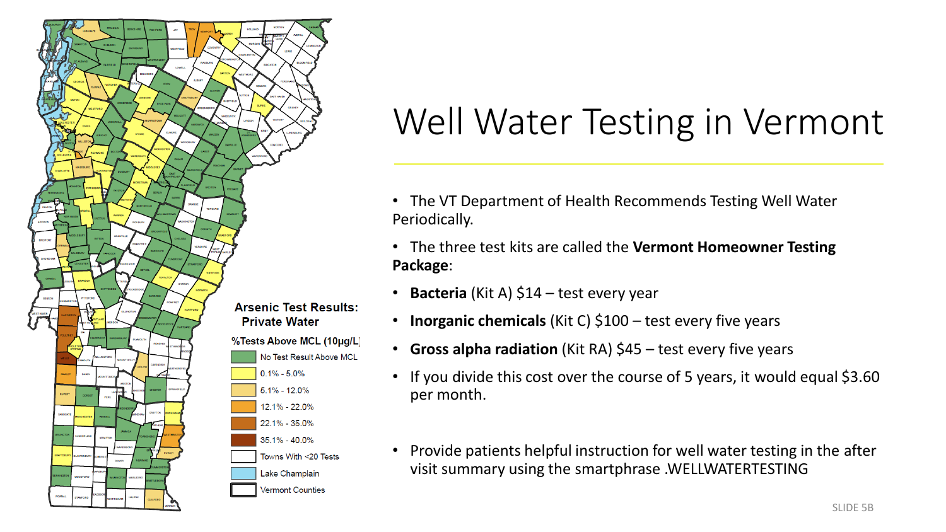

### Well Water Testing in Vermont

- The VT Department of Health Recommends Testing Well Water Periodically.
- The three test kits are called the **Vermont Homeowner Testing Package**:
- **Bacteria** (Kit A) \$14 test every year
- **Inorganic chemicals** (Kit C) \$100 test every five years
- **Gross alpha radiation** (Kit RA) \$45 test every five years
- If you divide this cost over the course of 5 years, it would equal \$3.60 per month.
- Provide patients helpful instruction for well water testing in the after visit summary using the smartphrase .WELLWATERTESTING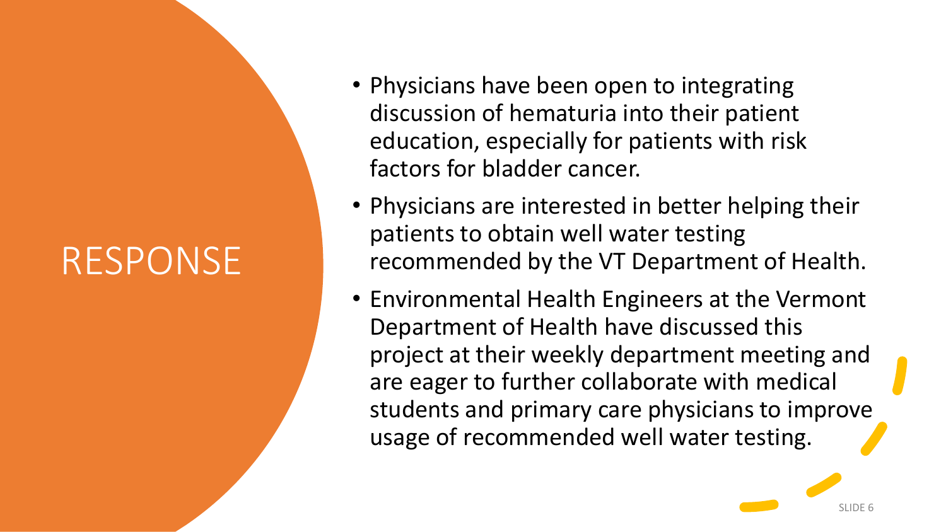### RESPONSE

- Physicians have been open to integrating discussion of hematuria into their patient education, especially for patients with risk factors for bladder cancer.
- Physicians are interested in better helping their patients to obtain well water testing recommended by the VT Department of Health.
- Environmental Health Engineers at the Vermont Department of Health have discussed this project at their weekly department meeting and are eager to further collaborate with medical students and primary care physicians to improve usage of recommended well water testing.

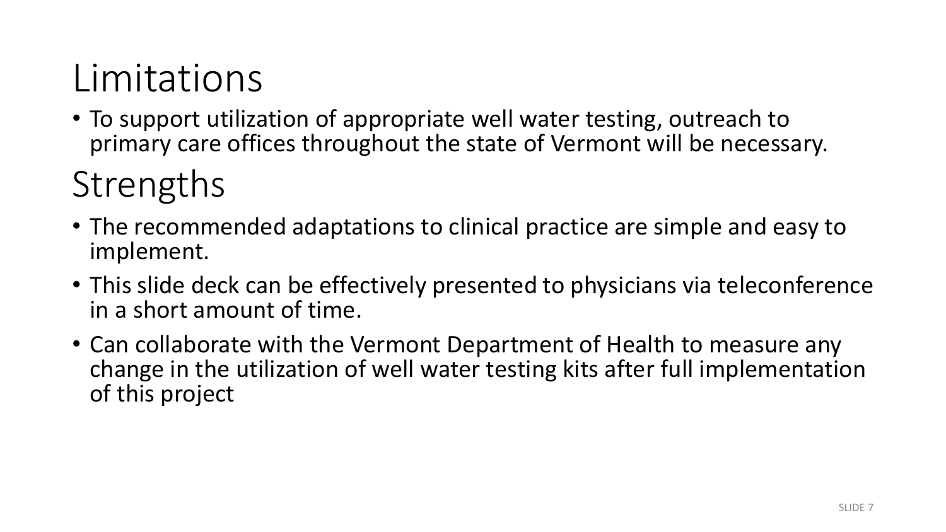# Limitations

• To support utilization of appropriate well water testing, outreach to primary care offices throughout the state of Vermont will be necessary.

### Strengths

- The recommended adaptations to clinical practice are simple and easy to implement.
- This slide deck can be effectively presented to physicians via teleconference in a short amount of time.
- Can collaborate with the Vermont Department of Health to measure any change in the utilization of well water testing kits after full implementation of this project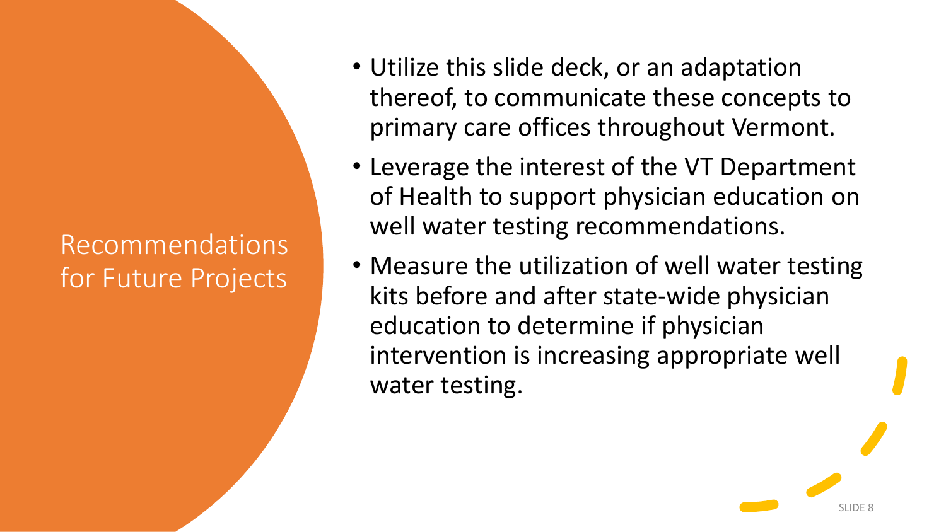### Recommendations for Future Projects

- Utilize this slide deck, or an adaptation thereof, to communicate these concepts to primary care offices throughout Vermont.
- Leverage the interest of the VT Department of Health to support physician education on well water testing recommendations.
- Measure the utilization of well water testing kits before and after state-wide physician education to determine if physician intervention is increasing appropriate well water testing.